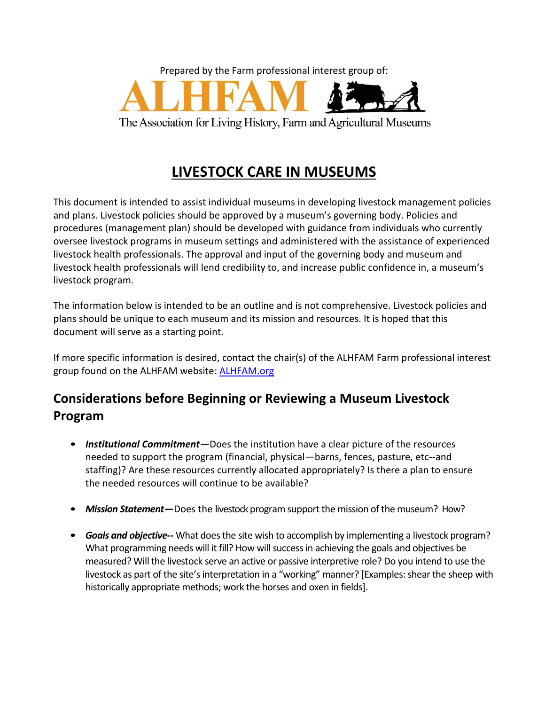

# **LIVESTOCK CARE IN MUSEUMS**

This document is intended to assist individual museums in developing livestock management policies and plans. Livestock policies should be approved by a museum's governing body. Policies and procedures (management plan) should be developed with guidance from individuals who currently oversee livestock programs in museum settings and administered with the assistance of experienced livestock health professionals. The approval and input of the governing body and museum and livestock health professionals will lend credibility to, and increase public confidence in, a museum's livestock program.

The information below is intended to be an outline and is not comprehensive. Livestock policies and plans should be unique to each museum and its mission and resources. It is hoped that this document will serve as a starting point.

If more specific information is desired, contact the chair(s) of the ALHFAM Farm professional interest group found on the ALHFAM website: **[ALHFAM.org](http://www.alhfam.org/)** 

## **Considerations before Beginning or Reviewing a Museum Livestock Program**

- *Institutional Commitment*—Does the institution have a clear picture of the resources needed to support the program (financial, physical—barns, fences, pasture, etc--and staffing)? Are these resources currently allocated appropriately? Is there a plan to ensure the needed resources will continue to be available?
- *Mission Statement*—Does the livestock program support the mission of the museum? How?
- *Goals and objective--* What does the site wish to accomplish by implementing a livestock program? What programming needs will it fill? How will success in achieving the goals and objectives be measured? Will the livestock serve an active or passive interpretive role? Do you intend to use the livestock as part of the site's interpretation in a "working" manner? [Examples: shear the sheep with historically appropriate methods; work the horses and oxen in fields].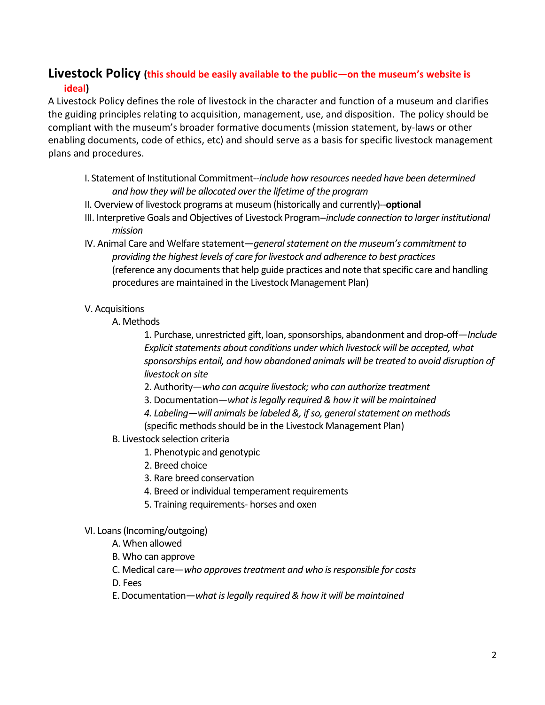## **Livestock Policy (this should be easily available to the public—on the museum's website is ideal)**

A Livestock Policy defines the role of livestock in the character and function of a museum and clarifies the guiding principles relating to acquisition, management, use, and disposition. The policy should be compliant with the museum's broader formative documents (mission statement, by-laws or other enabling documents, code of ethics, etc) and should serve as a basis for specific livestock management plans and procedures.

- I. Statement of Institutional Commitment--*include how resources needed have been determined and how they will be allocated over the lifetime of the program*
- II. Overview of livestock programs at museum (historically and currently)--**optional**
- III. Interpretive Goals and Objectives of Livestock Program--*include connection to larger institutional mission*
- IV. Animal Care and Welfare statement—*general statement on the museum's commitment to providing the highest levels of care for livestock and adherence to best practices* (reference any documents that help guide practices and note that specific care and handling procedures are maintained in the Livestock Management Plan)

#### V. Acquisitions

A. Methods

1. Purchase, unrestricted gift, loan, sponsorships, abandonment and drop-off—*Include Explicit statements about conditions under which livestock will be accepted, what sponsorships entail, and how abandoned animals will be treated to avoid disruption of livestock on site*

- 2. Authority—*who can acquire livestock; who can authorize treatment*
- 3. Documentation—*what is legally required & how it will be maintained*
- *4. Labeling—will animals be labeled &, if so, general statement on methods*

(specific methods should be in the Livestock Management Plan)

- B. Livestock selection criteria
	- 1. Phenotypic and genotypic
	- 2. Breed choice
	- 3. Rare breed conservation
	- 4. Breed or individual temperament requirements
	- 5. Training requirements- horses and oxen

#### VI. Loans (Incoming/outgoing)

- A. When allowed
- B. Who can approve
- C. Medical care—*who approves treatment and who is responsible for costs*
- D. Fees
- E. Documentation—*what is legally required & how it will be maintained*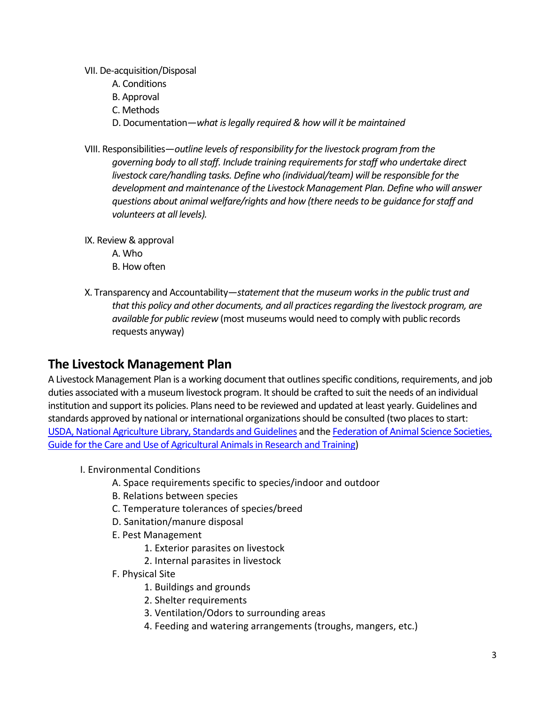VII. De-acquisition/Disposal

- A. Conditions
- B. Approval
- C. Methods
- D. Documentation—*what is legally required & how will it be maintained*
- VIII. Responsibilities—*outline levels of responsibility for the livestock program from the governing body to all staff. Include training requirements for staff who undertake direct livestock care/handling tasks. Define who (individual/team) will be responsible for the development and maintenance of the Livestock Management Plan. Define who will answer questions about animal welfare/rights and how (there needs to be guidance for staff and volunteers at all levels).*
- IX. Review & approval A. Who B. How often
- X. Transparency and Accountability—*statement that the museum works in the public trust and that this policy and other documents, and all practices regarding the livestock program, are available for public review* (most museums would need to comply with public records requests anyway)

## **The Livestock Management Plan**

A Livestock Management Plan is a working document that outlines specific conditions, requirements, and job duties associated with a museum livestock program. It should be crafted to suit the needs of an individual institution and support its policies. Plans need to be reviewed and updated at least yearly. Guidelines and standards approved by national or international organizations should be consulted (two places to start: [USDA, National Agriculture Library, Standards and Guidelines](https://www.nal.usda.gov/awic/standards-and-guidelines) and th[e Federation of Animal Science Societies,](http://fass.org/docs/agguide3rd/ag_guide_3rd_ed.pdf)  [Guide for the Care and Use of Agricultural Animals in Research and Training\)](http://fass.org/docs/agguide3rd/ag_guide_3rd_ed.pdf)

- I. Environmental Conditions
	- A. Space requirements specific to species/indoor and outdoor
	- B. Relations between species
	- C. Temperature tolerances of species/breed
	- D. Sanitation/manure disposal
	- E. Pest Management
		- 1. Exterior parasites on livestock
		- 2. Internal parasites in livestock
	- F. Physical Site
		- 1. Buildings and grounds
		- 2. Shelter requirements
		- 3. Ventilation/Odors to surrounding areas
		- 4. Feeding and watering arrangements (troughs, mangers, etc.)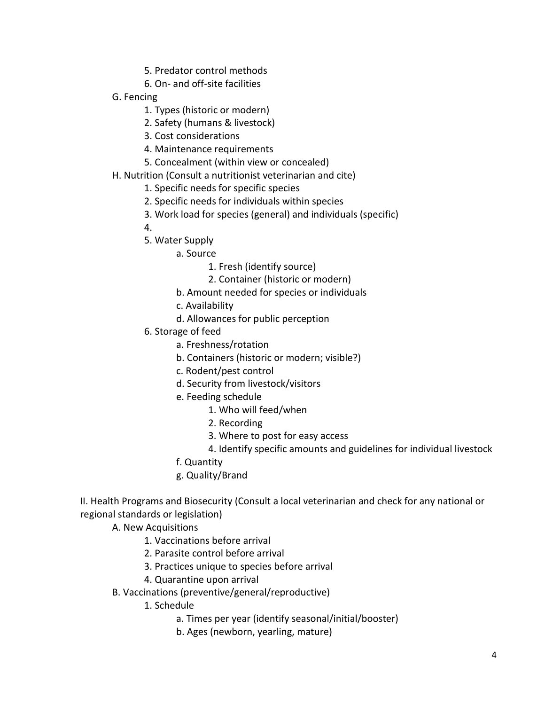- 5. Predator control methods
- 6. On- and off-site facilities
- G. Fencing
	- 1. Types (historic or modern)
	- 2. Safety (humans & livestock)
	- 3. Cost considerations
	- 4. Maintenance requirements
	- 5. Concealment (within view or concealed)
- H. Nutrition (Consult a nutritionist veterinarian and cite)
	- 1. Specific needs for specific species
	- 2. Specific needs for individuals within species
	- 3. Work load for species (general) and individuals (specific)
	- 4.
	- 5. Water Supply
		- a. Source
			- 1. Fresh (identify source)
			- 2. Container (historic or modern)
		- b. Amount needed for species or individuals
		- c. Availability
		- d. Allowances for public perception
	- 6. Storage of feed
		- a. Freshness/rotation
		- b. Containers (historic or modern; visible?)
		- c. Rodent/pest control
		- d. Security from livestock/visitors
		- e. Feeding schedule
			- 1. Who will feed/when
			- 2. Recording
			- 3. Where to post for easy access
			- 4. Identify specific amounts and guidelines for individual livestock
		- f. Quantity
		- g. Quality/Brand

II. Health Programs and Biosecurity (Consult a local veterinarian and check for any national or regional standards or legislation)

- A. New Acquisitions
	- 1. Vaccinations before arrival
	- 2. Parasite control before arrival
	- 3. Practices unique to species before arrival
	- 4. Quarantine upon arrival
- B. Vaccinations (preventive/general/reproductive)
	- 1. Schedule
		- a. Times per year (identify seasonal/initial/booster)
		- b. Ages (newborn, yearling, mature)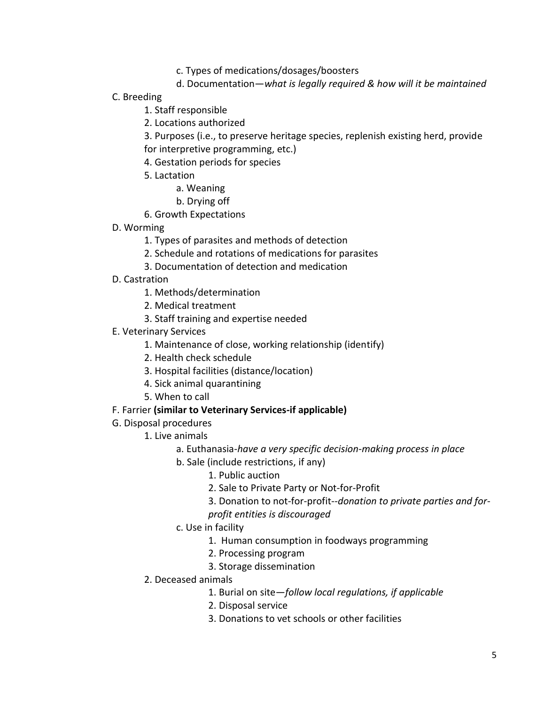- c. Types of medications/dosages/boosters
- d. Documentation—*what is legally required & how will it be maintained*
- C. Breeding
	- 1. Staff responsible
	- 2. Locations authorized

3. Purposes (i.e., to preserve heritage species, replenish existing herd, provide for interpretive programming, etc.)

- 4. Gestation periods for species
- 5. Lactation
	- a. Weaning
	- b. Drying off
- 6. Growth Expectations
- D. Worming
	- 1. Types of parasites and methods of detection
	- 2. Schedule and rotations of medications for parasites
	- 3. Documentation of detection and medication
- D. Castration
	- 1. Methods/determination
	- 2. Medical treatment
	- 3. Staff training and expertise needed
- E. Veterinary Services
	- 1. Maintenance of close, working relationship (identify)
	- 2. Health check schedule
	- 3. Hospital facilities (distance/location)
	- 4. Sick animal quarantining
	- 5. When to call

#### F. Farrier **(similar to Veterinary Services-if applicable)**

- G. Disposal procedures
	- 1. Live animals
		- a. Euthanasia-*have a very specific decision-making process in place*
		- b. Sale (include restrictions, if any)
			- 1. Public auction
			- 2. Sale to Private Party or Not-for-Profit
			- 3. Donation to not-for-profit--*donation to private parties and for-*
			- *profit entities is discouraged*
		- c. Use in facility
			- 1. Human consumption in foodways programming
			- 2. Processing program
			- 3. Storage dissemination
	- 2. Deceased animals
		- 1. Burial on site—*follow local regulations, if applicable*
		- 2. Disposal service
		- 3. Donations to vet schools or other facilities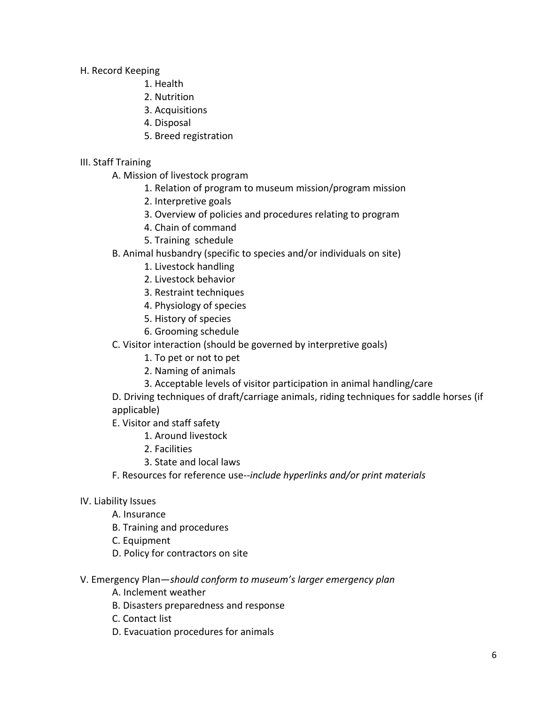H. Record Keeping

- 1. Health
- 2. Nutrition
- 3. Acquisitions
- 4. Disposal
- 5. Breed registration

### III. Staff Training

- A. Mission of livestock program
	- 1. Relation of program to museum mission/program mission
	- 2. Interpretive goals
	- 3. Overview of policies and procedures relating to program
	- 4. Chain of command
	- 5. Training schedule
- B. Animal husbandry (specific to species and/or individuals on site)
	- 1. Livestock handling
	- 2. Livestock behavior
	- 3. Restraint techniques
	- 4. Physiology of species
	- 5. History of species
	- 6. Grooming schedule
- C. Visitor interaction (should be governed by interpretive goals)
	- 1. To pet or not to pet
	- 2. Naming of animals
	- 3. Acceptable levels of visitor participation in animal handling/care

D. Driving techniques of draft/carriage animals, riding techniques for saddle horses (if applicable)

- E. Visitor and staff safety
	- 1. Around livestock
	- 2. Facilities
	- 3. State and local laws
- F. Resources for reference use--*include hyperlinks and/or print materials*

### IV. Liability Issues

- A. Insurance
- B. Training and procedures
- C. Equipment
- D. Policy for contractors on site

### V. Emergency Plan—*should conform to museum's larger emergency plan*

- A. Inclement weather
- B. Disasters preparedness and response
- C. Contact list
- D. Evacuation procedures for animals